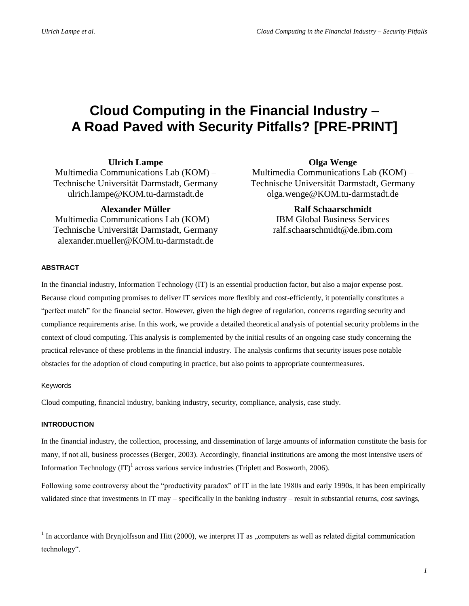# **Cloud Computing in the Financial Industry – A Road Paved with Security Pitfalls? [PRE-PRINT]**

**Ulrich Lampe**

Multimedia Communications Lab (KOM) – Technische Universität Darmstadt, Germany [ulrich.lampe@KOM.tu-darmstadt.de](mailto:ulrich.lampe@KOM.tu-darmstadt.de)

**Alexander Müller**

Multimedia Communications Lab (KOM) – Technische Universität Darmstadt, Germany [alexander.mueller@KOM.tu-darmstadt.de](mailto:alexander.mueller@KOM.tu-darmstadt.de)

**Olga Wenge**

Multimedia Communications Lab (KOM) – Technische Universität Darmstadt, Germany [olga.wenge@KOM.tu-darmstadt.de](mailto:olga.wenge@KOM.tu-darmstadt.de)

> **Ralf Schaarschmidt** IBM Global Business Services [ralf.schaarschmidt@de.ibm.com](mailto:ralf.schaarschmidt@de.ibm.com)

# **ABSTRACT**

In the financial industry, Information Technology (IT) is an essential production factor, but also a major expense post. Because cloud computing promises to deliver IT services more flexibly and cost-efficiently, it potentially constitutes a "perfect match" for the financial sector. However, given the high degree of regulation, concerns regarding security and compliance requirements arise. In this work, we provide a detailed theoretical analysis of potential security problems in the context of cloud computing. This analysis is complemented by the initial results of an ongoing case study concerning the practical relevance of these problems in the financial industry. The analysis confirms that security issues pose notable obstacles for the adoption of cloud computing in practice, but also points to appropriate countermeasures.

## Keywords

l

Cloud computing, financial industry, banking industry, security, compliance, analysis, case study.

# **INTRODUCTION**

In the financial industry, the collection, processing, and dissemination of large amounts of information constitute the basis for many, if not all, business processes (Berger, 2003). Accordingly, financial institutions are among the most intensive users of Information Technology  $(IT)^1$  across various service industries (Triplett and Bosworth, 2006).

Following some controversy about the "productivity paradox" of IT in the late 1980s and early 1990s, it has been empirically validated since that investments in IT may – specifically in the banking industry – result in substantial returns, cost savings,

 $<sup>1</sup>$  In accordance with Brynjolfsson and Hitt (2000), we interpret IT as "computers as well as related digital communication</sup> technology".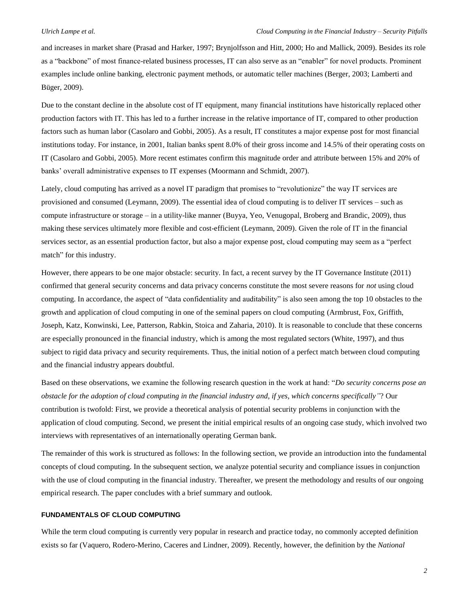and increases in market share (Prasad and Harker, 1997; Brynjolfsson and Hitt, 2000; Ho and Mallick, 2009). Besides its role as a "backbone" of most finance-related business processes, IT can also serve as an "enabler" for novel products. Prominent examples include online banking, electronic payment methods, or automatic teller machines (Berger, 2003; Lamberti and Büger, 2009).

Due to the constant decline in the absolute cost of IT equipment, many financial institutions have historically replaced other production factors with IT. This has led to a further increase in the relative importance of IT, compared to other production factors such as human labor (Casolaro and Gobbi, 2005). As a result, IT constitutes a major expense post for most financial institutions today. For instance, in 2001, Italian banks spent 8.0% of their gross income and 14.5% of their operating costs on IT (Casolaro and Gobbi, 2005). More recent estimates confirm this magnitude order and attribute between 15% and 20% of banks' overall administrative expenses to IT expenses (Moormann and Schmidt, 2007).

Lately, cloud computing has arrived as a novel IT paradigm that promises to "revolutionize" the way IT services are provisioned and consumed (Leymann, 2009). The essential idea of cloud computing is to deliver IT services – such as compute infrastructure or storage – in a utility-like manner (Buyya, Yeo, Venugopal, Broberg and Brandic, 2009), thus making these services ultimately more flexible and cost-efficient (Leymann, 2009). Given the role of IT in the financial services sector, as an essential production factor, but also a major expense post, cloud computing may seem as a "perfect match" for this industry.

However, there appears to be one major obstacle: security. In fact, a recent survey by the IT Governance Institute (2011) confirmed that general security concerns and data privacy concerns constitute the most severe reasons for *not* using cloud computing. In accordance, the aspect of "data confidentiality and auditability" is also seen among the top 10 obstacles to the growth and application of cloud computing in one of the seminal papers on cloud computing (Armbrust, Fox, Griffith, Joseph, Katz, Konwinski, Lee, Patterson, Rabkin, Stoica and Zaharia, 2010). It is reasonable to conclude that these concerns are especially pronounced in the financial industry, which is among the most regulated sectors (White, 1997), and thus subject to rigid data privacy and security requirements. Thus, the initial notion of a perfect match between cloud computing and the financial industry appears doubtful.

Based on these observations, we examine the following research question in the work at hand: "*Do security concerns pose an obstacle for the adoption of cloud computing in the financial industry and, if yes, which concerns specifically"*? Our contribution is twofold: First, we provide a theoretical analysis of potential security problems in conjunction with the application of cloud computing. Second, we present the initial empirical results of an ongoing case study, which involved two interviews with representatives of an internationally operating German bank.

The remainder of this work is structured as follows: In the following section, we provide an introduction into the fundamental concepts of cloud computing. In the subsequent section, we analyze potential security and compliance issues in conjunction with the use of cloud computing in the financial industry. Thereafter, we present the methodology and results of our ongoing empirical research. The paper concludes with a brief summary and outlook.

### **FUNDAMENTALS OF CLOUD COMPUTING**

While the term cloud computing is currently very popular in research and practice today, no commonly accepted definition exists so far (Vaquero, Rodero-Merino, Caceres and Lindner, 2009). Recently, however, the definition by the *National*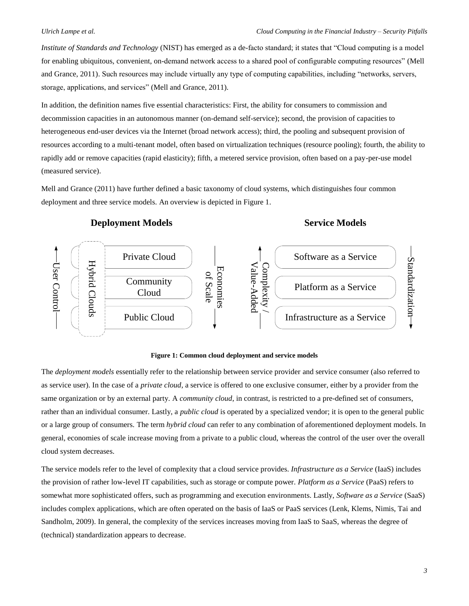*Institute of Standards and Technology* (NIST) has emerged as a de-facto standard; it states that "Cloud computing is a model for enabling ubiquitous, convenient, on-demand network access to a shared pool of configurable computing resources" (Mell and Grance, 2011). Such resources may include virtually any type of computing capabilities, including "networks, servers, storage, applications, and services" (Mell and Grance, 2011).

In addition, the definition names five essential characteristics: First, the ability for consumers to commission and decommission capacities in an autonomous manner (on-demand self-service); second, the provision of capacities to heterogeneous end-user devices via the Internet (broad network access); third, the pooling and subsequent provision of resources according to a multi-tenant model, often based on virtualization techniques (resource pooling); fourth, the ability to rapidly add or remove capacities (rapid elasticity); fifth, a metered service provision, often based on a pay-per-use model (measured service).

Mell and Grance (2011) have further defined a basic taxonomy of cloud systems, which distinguishes four common deployment and three service models. An overview is depicted in [Figure 1.](#page-2-0)



### **Figure 1: Common cloud deployment and service models**

<span id="page-2-0"></span>The *deployment models* essentially refer to the relationship between service provider and service consumer (also referred to as service user). In the case of a *private cloud*, a service is offered to one exclusive consumer, either by a provider from the same organization or by an external party. A *community cloud*, in contrast, is restricted to a pre-defined set of consumers, rather than an individual consumer. Lastly, a *public cloud* is operated by a specialized vendor; it is open to the general public or a large group of consumers. The term *hybrid cloud* can refer to any combination of aforementioned deployment models. In general, economies of scale increase moving from a private to a public cloud, whereas the control of the user over the overall cloud system decreases.

The service models refer to the level of complexity that a cloud service provides. *Infrastructure as a Service* (IaaS) includes the provision of rather low-level IT capabilities, such as storage or compute power. *Platform as a Service* (PaaS) refers to somewhat more sophisticated offers, such as programming and execution environments. Lastly, *Software as a Service* (SaaS) includes complex applications, which are often operated on the basis of IaaS or PaaS services (Lenk, Klems, Nimis, Tai and Sandholm, 2009). In general, the complexity of the services increases moving from IaaS to SaaS, whereas the degree of (technical) standardization appears to decrease.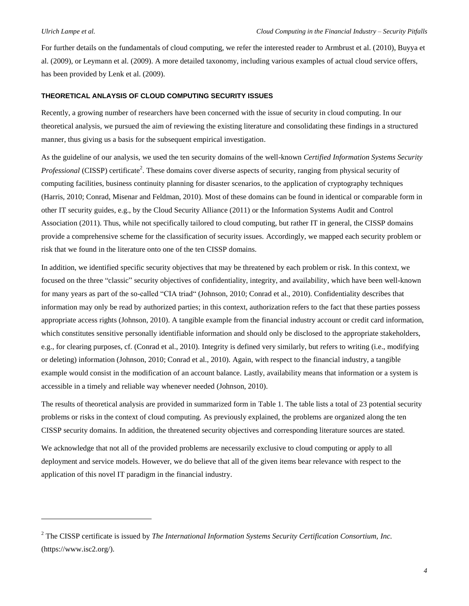l

For further details on the fundamentals of cloud computing, we refer the interested reader to Armbrust et al. (2010), Buyya et al. (2009), or Leymann et al. (2009). A more detailed taxonomy, including various examples of actual cloud service offers, has been provided by Lenk et al. (2009).

### **THEORETICAL ANLAYSIS OF CLOUD COMPUTING SECURITY ISSUES**

Recently, a growing number of researchers have been concerned with the issue of security in cloud computing. In our theoretical analysis, we pursued the aim of reviewing the existing literature and consolidating these findings in a structured manner, thus giving us a basis for the subsequent empirical investigation.

As the guideline of our analysis, we used the ten security domains of the well-known *Certified Information Systems Security Professional* (CISSP) certificate<sup>2</sup>. These domains cover diverse aspects of security, ranging from physical security of computing facilities, business continuity planning for disaster scenarios, to the application of cryptography techniques (Harris, 2010; Conrad, Misenar and Feldman, 2010). Most of these domains can be found in identical or comparable form in other IT security guides, e.g., by the Cloud Security Alliance (2011) or the Information Systems Audit and Control Association (2011). Thus, while not specifically tailored to cloud computing, but rather IT in general, the CISSP domains provide a comprehensive scheme for the classification of security issues. Accordingly, we mapped each security problem or risk that we found in the literature onto one of the ten CISSP domains.

In addition, we identified specific security objectives that may be threatened by each problem or risk. In this context, we focused on the three "classic" security objectives of confidentiality, integrity, and availability, which have been well-known for many years as part of the so-called "CIA triad" (Johnson, 2010; Conrad et al., 2010). Confidentiality describes that information may only be read by authorized parties; in this context, authorization refers to the fact that these parties possess appropriate access rights (Johnson, 2010). A tangible example from the financial industry account or credit card information, which constitutes sensitive personally identifiable information and should only be disclosed to the appropriate stakeholders, e.g., for clearing purposes, cf. (Conrad et al., 2010). Integrity is defined very similarly, but refers to writing (i.e., modifying or deleting) information (Johnson, 2010; Conrad et al., 2010). Again, with respect to the financial industry, a tangible example would consist in the modification of an account balance. Lastly, availability means that information or a system is accessible in a timely and reliable way whenever needed (Johnson, 2010).

The results of theoretical analysis are provided in summarized form in [Table 1.](#page-4-0) The table lists a total of 23 potential security problems or risks in the context of cloud computing. As previously explained, the problems are organized along the ten CISSP security domains. In addition, the threatened security objectives and corresponding literature sources are stated.

We acknowledge that not all of the provided problems are necessarily exclusive to cloud computing or apply to all deployment and service models. However, we do believe that all of the given items bear relevance with respect to the application of this novel IT paradigm in the financial industry.

<sup>2</sup> The CISSP certificate is issued by *The International Information Systems Security Certification Consortium, Inc.* (https://www.isc2.org/).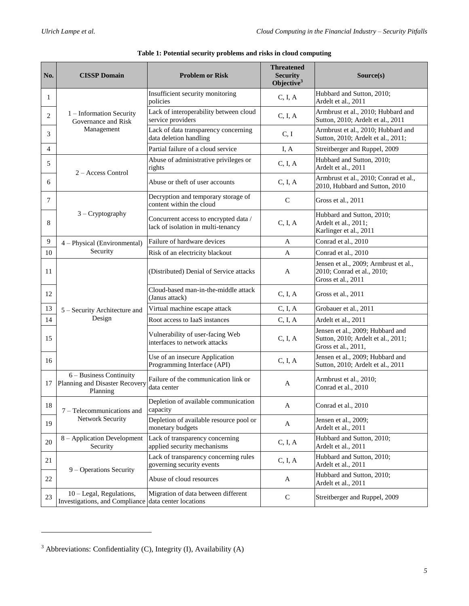<span id="page-4-0"></span>

| No.    | <b>CISSP Domain</b>                                                   | <b>Problem or Risk</b>                                                      | <b>Threatened</b><br><b>Security</b><br>Objective <sup>3</sup> | Source(s)                                                                                     |
|--------|-----------------------------------------------------------------------|-----------------------------------------------------------------------------|----------------------------------------------------------------|-----------------------------------------------------------------------------------------------|
| 1      | 1 – Information Security<br>Governance and Risk<br>Management         | Insufficient security monitoring<br>policies                                | C, I, A                                                        | Hubbard and Sutton, 2010;<br>Ardelt et al., 2011                                              |
| 2      |                                                                       | Lack of interoperability between cloud<br>service providers                 | C, I, A                                                        | Armbrust et al., 2010; Hubbard and<br>Sutton, 2010; Ardelt et al., 2011                       |
| 3      |                                                                       | Lack of data transparency concerning<br>data deletion handling              | C, I                                                           | Armbrust et al., 2010; Hubbard and<br>Sutton, 2010; Ardelt et al., 2011;                      |
| 4      |                                                                       | Partial failure of a cloud service                                          | I, A                                                           | Streitberger and Ruppel, 2009                                                                 |
| 5      | $2 - Access Control$                                                  | Abuse of administrative privileges or<br>rights                             | C, I, A                                                        | Hubbard and Sutton, 2010;<br>Ardelt et al., 2011                                              |
| 6      |                                                                       | Abuse or theft of user accounts                                             | C, I, A                                                        | Armbrust et al., 2010; Conrad et al.,<br>2010, Hubbard and Sutton, 2010                       |
| 7      | $3 - Cryptography$                                                    | Decryption and temporary storage of<br>content within the cloud             | $\mathsf{C}$                                                   | Gross et al., 2011                                                                            |
| 8      |                                                                       | Concurrent access to encrypted data /<br>lack of isolation in multi-tenancy | C, I, A                                                        | Hubbard and Sutton, 2010;<br>Ardelt et al., 2011;<br>Karlinger et al., 2011                   |
| 9      | 4 - Physical (Environmental)<br>Security                              | Failure of hardware devices                                                 | A                                                              | Conrad et al., 2010                                                                           |
| 10     |                                                                       | Risk of an electricity blackout                                             | A                                                              | Conrad et al., 2010                                                                           |
| 11     | 5 - Security Architecture and<br>Design                               | (Distributed) Denial of Service attacks                                     | A                                                              | Jensen et al., 2009; Armbrust et al.,<br>2010; Conrad et al., 2010;<br>Gross et al., 2011     |
| 12     |                                                                       | Cloud-based man-in-the-middle attack<br>(Janus attack)                      | C, I, A                                                        | Gross et al., 2011                                                                            |
| 13     |                                                                       | Virtual machine escape attack                                               | C, I, A                                                        | Grobauer et al., 2011                                                                         |
| 14     |                                                                       | Root access to IaaS instances                                               | C, I, A                                                        | Ardelt et al., 2011                                                                           |
| 15     |                                                                       | Vulnerability of user-facing Web<br>interfaces to network attacks           | C, I, A                                                        | Jensen et al., 2009; Hubbard and<br>Sutton, 2010; Ardelt et al., 2011;<br>Gross et al., 2011, |
| 16     |                                                                       | Use of an insecure Application<br>Programming Interface (API)               | C, I, A                                                        | Jensen et al., 2009; Hubbard and<br>Sutton, 2010; Ardelt et al., 2011                         |
| 17     | 6 - Business Continuity<br>Planning and Disaster Recovery<br>Planning | Failure of the communication link or<br>data center                         | A                                                              | Armbrust et al., 2010;<br>Conrad et al., 2010                                                 |
| $18\,$ | 7 - Telecommunications and<br>Network Security                        | Depletion of available communication<br>capacity                            | A                                                              | Conrad et al., 2010                                                                           |
| 19     |                                                                       | Depletion of available resource pool or<br>monetary budgets                 | A                                                              | Jensen et al., 2009;<br>Ardelt et al., 2011                                                   |
| 20     | 8 - Application Development<br>Security                               | Lack of transparency concerning<br>applied security mechanisms              | C, I, A                                                        | Hubbard and Sutton, 2010;<br>Ardelt et al., 2011                                              |
| 21     | 9 – Operations Security                                               | Lack of transparency concerning rules<br>governing security events          | C, I, A                                                        | Hubbard and Sutton, 2010;<br>Ardelt et al., 2011                                              |
| 22     |                                                                       | Abuse of cloud resources                                                    | A                                                              | Hubbard and Sutton, 2010;<br>Ardelt et al., 2011                                              |
| 23     | 10 - Legal, Regulations,<br>Investigations, and Compliance            | Migration of data between different<br>data center locations                | $\mathbf C$                                                    | Streitberger and Ruppel, 2009                                                                 |

l

<sup>3</sup> Abbreviations: Confidentiality (C), Integrity (I), Availability (A)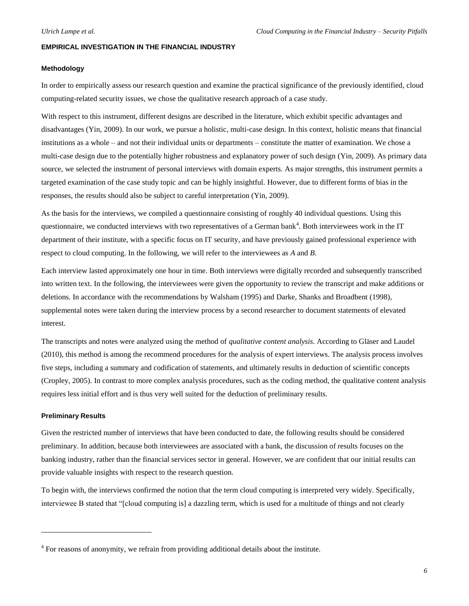## **EMPIRICAL INVESTIGATION IN THE FINANCIAL INDUSTRY**

### **Methodology**

In order to empirically assess our research question and examine the practical significance of the previously identified, cloud computing-related security issues, we chose the qualitative research approach of a case study.

With respect to this instrument, different designs are described in the literature, which exhibit specific advantages and disadvantages (Yin, 2009). In our work, we pursue a holistic, multi-case design. In this context, holistic means that financial institutions as a whole – and not their individual units or departments – constitute the matter of examination. We chose a multi-case design due to the potentially higher robustness and explanatory power of such design (Yin, 2009). As primary data source, we selected the instrument of personal interviews with domain experts. As major strengths, this instrument permits a targeted examination of the case study topic and can be highly insightful. However, due to different forms of bias in the responses, the results should also be subject to careful interpretation (Yin, 2009).

As the basis for the interviews, we compiled a questionnaire consisting of roughly 40 individual questions. Using this questionnaire, we conducted interviews with two representatives of a German bank<sup>4</sup>. Both interviewees work in the IT department of their institute, with a specific focus on IT security, and have previously gained professional experience with respect to cloud computing. In the following, we will refer to the interviewees as *A* and *B*.

Each interview lasted approximately one hour in time. Both interviews were digitally recorded and subsequently transcribed into written text. In the following, the interviewees were given the opportunity to review the transcript and make additions or deletions. In accordance with the recommendations by Walsham (1995) and Darke, Shanks and Broadbent (1998), supplemental notes were taken during the interview process by a second researcher to document statements of elevated interest.

The transcripts and notes were analyzed using the method of *qualitative content analysis*. According to Gläser and Laudel (2010), this method is among the recommend procedures for the analysis of expert interviews. The analysis process involves five steps, including a summary and codification of statements, and ultimately results in deduction of scientific concepts (Cropley, 2005). In contrast to more complex analysis procedures, such as the coding method, the qualitative content analysis requires less initial effort and is thus very well suited for the deduction of preliminary results.

### **Preliminary Results**

l

Given the restricted number of interviews that have been conducted to date, the following results should be considered preliminary. In addition, because both interviewees are associated with a bank, the discussion of results focuses on the banking industry, rather than the financial services sector in general. However, we are confident that our initial results can provide valuable insights with respect to the research question.

To begin with, the interviews confirmed the notion that the term cloud computing is interpreted very widely. Specifically, interviewee B stated that "[cloud computing is] a dazzling term, which is used for a multitude of things and not clearly

<sup>&</sup>lt;sup>4</sup> For reasons of anonymity, we refrain from providing additional details about the institute.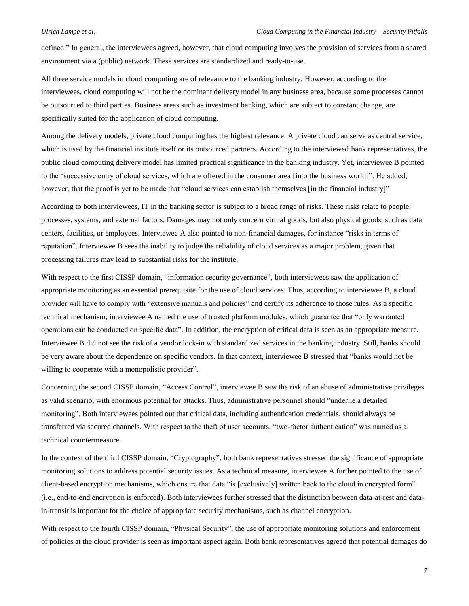defined." In general, the interviewees agreed, however, that cloud computing involves the provision of services from a shared environment via a (public) network. These services are standardized and ready-to-use.

All three service models in cloud computing are of relevance to the banking industry. However, according to the interviewees, cloud computing will not be the dominant delivery model in any business area, because some processes cannot be outsourced to third parties. Business areas such as investment banking, which are subject to constant change, are specifically suited for the application of cloud computing.

Among the delivery models, private cloud computing has the highest relevance. A private cloud can serve as central service, which is used by the financial institute itself or its outsourced partners. According to the interviewed bank representatives, the public cloud computing delivery model has limited practical significance in the banking industry. Yet, interviewee B pointed to the "successive entry of cloud services, which are offered in the consumer area [into the business world]". He added, however, that the proof is yet to be made that "cloud services can establish themselves [in the financial industry]"

According to both interviewees, IT in the banking sector is subject to a broad range of risks. These risks relate to people, processes, systems, and external factors. Damages may not only concern virtual goods, but also physical goods, such as data centers, facilities, or employees. Interviewee A also pointed to non-financial damages, for instance "risks in terms of reputation". Interviewee B sees the inability to judge the reliability of cloud services as a major problem, given that processing failures may lead to substantial risks for the institute.

With respect to the first CISSP domain, "information security governance", both interviewees saw the application of appropriate monitoring as an essential prerequisite for the use of cloud services. Thus, according to interviewee B, a cloud provider will have to comply with "extensive manuals and policies" and certify its adherence to those rules. As a specific technical mechanism, interviewee A named the use of trusted platform modules, which guarantee that "only warranted operations can be conducted on specific data". In addition, the encryption of critical data is seen as an appropriate measure. Interviewee B did not see the risk of a vendor lock-in with standardized services in the banking industry. Still, banks should be very aware about the dependence on specific vendors. In that context, interviewee B stressed that "banks would not be willing to cooperate with a monopolistic provider".

Concerning the second CISSP domain, "Access Control", interviewee B saw the risk of an abuse of administrative privileges as valid scenario, with enormous potential for attacks. Thus, administrative personnel should "underlie a detailed monitoring". Both interviewees pointed out that critical data, including authentication credentials, should always be transferred via secured channels. With respect to the theft of user accounts, "two-factor authentication" was named as a technical countermeasure.

In the context of the third CISSP domain, "Cryptography", both bank representatives stressed the significance of appropriate monitoring solutions to address potential security issues. As a technical measure, interviewee A further pointed to the use of client-based encryption mechanisms, which ensure that data "is [exclusively] written back to the cloud in encrypted form" (i.e., end-to-end encryption is enforced). Both interviewees further stressed that the distinction between data-at-rest and datain-transit is important for the choice of appropriate security mechanisms, such as channel encryption.

With respect to the fourth CISSP domain, "Physical Security", the use of appropriate monitoring solutions and enforcement of policies at the cloud provider is seen as important aspect again. Both bank representatives agreed that potential damages do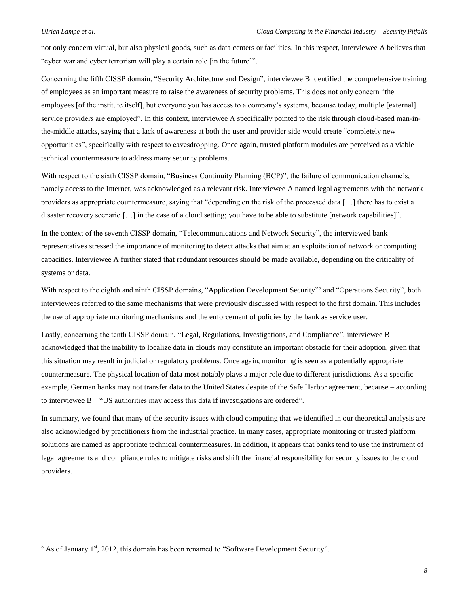l

not only concern virtual, but also physical goods, such as data centers or facilities. In this respect, interviewee A believes that "cyber war and cyber terrorism will play a certain role [in the future]".

Concerning the fifth CISSP domain, "Security Architecture and Design", interviewee B identified the comprehensive training of employees as an important measure to raise the awareness of security problems. This does not only concern "the employees [of the institute itself], but everyone you has access to a company's systems, because today, multiple [external] service providers are employed". In this context, interviewee A specifically pointed to the risk through cloud-based man-inthe-middle attacks, saying that a lack of awareness at both the user and provider side would create "completely new opportunities", specifically with respect to eavesdropping. Once again, trusted platform modules are perceived as a viable technical countermeasure to address many security problems.

With respect to the sixth CISSP domain, "Business Continuity Planning (BCP)", the failure of communication channels, namely access to the Internet, was acknowledged as a relevant risk. Interviewee A named legal agreements with the network providers as appropriate countermeasure, saying that "depending on the risk of the processed data […] there has to exist a disaster recovery scenario […] in the case of a cloud setting; you have to be able to substitute [network capabilities]".

In the context of the seventh CISSP domain, "Telecommunications and Network Security", the interviewed bank representatives stressed the importance of monitoring to detect attacks that aim at an exploitation of network or computing capacities. Interviewee A further stated that redundant resources should be made available, depending on the criticality of systems or data.

With respect to the eighth and ninth CISSP domains, "Application Development Security"<sup>5</sup> and "Operations Security", both interviewees referred to the same mechanisms that were previously discussed with respect to the first domain. This includes the use of appropriate monitoring mechanisms and the enforcement of policies by the bank as service user.

Lastly, concerning the tenth CISSP domain, "Legal, Regulations, Investigations, and Compliance", interviewee B acknowledged that the inability to localize data in clouds may constitute an important obstacle for their adoption, given that this situation may result in judicial or regulatory problems. Once again, monitoring is seen as a potentially appropriate countermeasure. The physical location of data most notably plays a major role due to different jurisdictions. As a specific example, German banks may not transfer data to the United States despite of the Safe Harbor agreement, because – according to interviewee B – "US authorities may access this data if investigations are ordered".

In summary, we found that many of the security issues with cloud computing that we identified in our theoretical analysis are also acknowledged by practitioners from the industrial practice. In many cases, appropriate monitoring or trusted platform solutions are named as appropriate technical countermeasures. In addition, it appears that banks tend to use the instrument of legal agreements and compliance rules to mitigate risks and shift the financial responsibility for security issues to the cloud providers.

 $<sup>5</sup>$  As of January 1<sup>st</sup>, 2012, this domain has been renamed to "Software Development Security".</sup>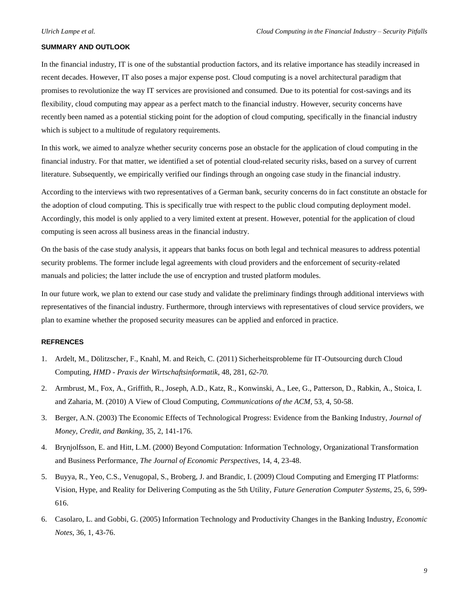## **SUMMARY AND OUTLOOK**

In the financial industry, IT is one of the substantial production factors, and its relative importance has steadily increased in recent decades. However, IT also poses a major expense post. Cloud computing is a novel architectural paradigm that promises to revolutionize the way IT services are provisioned and consumed. Due to its potential for cost-savings and its flexibility, cloud computing may appear as a perfect match to the financial industry. However, security concerns have recently been named as a potential sticking point for the adoption of cloud computing, specifically in the financial industry which is subject to a multitude of regulatory requirements.

In this work, we aimed to analyze whether security concerns pose an obstacle for the application of cloud computing in the financial industry. For that matter, we identified a set of potential cloud-related security risks, based on a survey of current literature. Subsequently, we empirically verified our findings through an ongoing case study in the financial industry.

According to the interviews with two representatives of a German bank, security concerns do in fact constitute an obstacle for the adoption of cloud computing. This is specifically true with respect to the public cloud computing deployment model. Accordingly, this model is only applied to a very limited extent at present. However, potential for the application of cloud computing is seen across all business areas in the financial industry.

On the basis of the case study analysis, it appears that banks focus on both legal and technical measures to address potential security problems. The former include legal agreements with cloud providers and the enforcement of security-related manuals and policies; the latter include the use of encryption and trusted platform modules.

In our future work, we plan to extend our case study and validate the preliminary findings through additional interviews with representatives of the financial industry. Furthermore, through interviews with representatives of cloud service providers, we plan to examine whether the proposed security measures can be applied and enforced in practice.

# **REFRENCES**

- 1. Ardelt, M., Dölitzscher, F., Knahl, M. and Reich, C. (2011) Sicherheitsprobleme für IT-Outsourcing durch Cloud Computing, *HMD - Praxis der Wirtschaftsinformatik*, 48, 281, *62-70.*
- 2. Armbrust, M., Fox, A., Griffith, R., Joseph, A.D., Katz, R., Konwinski, A., Lee, G., Patterson, D., Rabkin, A., Stoica, I. and Zaharia, M. (2010) A View of Cloud Computing, *Communications of the ACM*, 53, 4, 50-58.
- 3. Berger, A.N. (2003) The Economic Effects of Technological Progress: Evidence from the Banking Industry, *Journal of Money, Credit, and Banking*, 35, 2, 141-176.
- 4. Brynjolfsson, E. and Hitt, L.M. (2000) Beyond Computation: Information Technology, Organizational Transformation and Business Performance, *The Journal of Economic Perspectives*, 14, 4, 23-48.
- 5. Buyya, R., Yeo, C.S., Venugopal, S., Broberg, J. and Brandic, I. (2009) Cloud Computing and Emerging IT Platforms: Vision, Hype, and Reality for Delivering Computing as the 5th Utility, *Future Generation Computer Systems*, 25, 6, 599- 616.
- 6. Casolaro, L. and Gobbi, G. (2005) Information Technology and Productivity Changes in the Banking Industry, *Economic Notes*, 36, 1, 43-76.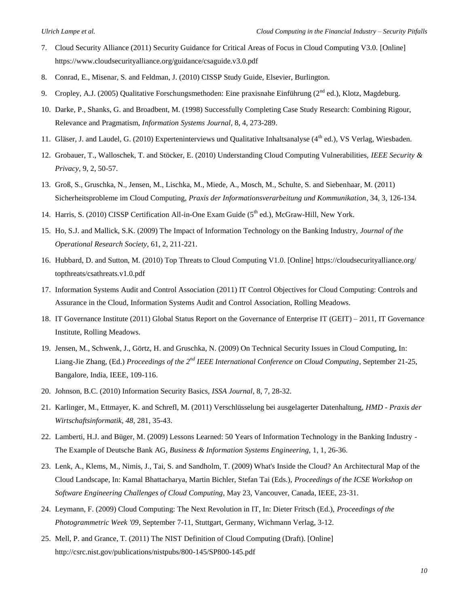- 7. Cloud Security Alliance (2011) Security Guidance for Critical Areas of Focus in Cloud Computing V3.0. [Online] https://www.cloudsecurityalliance.org/guidance/csaguide.v3.0.pdf
- 8. Conrad, E., Misenar, S. and Feldman, J. (2010) CISSP Study Guide, Elsevier, Burlington.
- 9. Cropley, A.J. (2005) Qualitative Forschungsmethoden: Eine praxisnahe Einführung ( $2<sup>nd</sup>$  ed.), Klotz, Magdeburg.
- 10. Darke, P., Shanks, G. and Broadbent, M. (1998) Successfully Completing Case Study Research: Combining Rigour, Relevance and Pragmatism, *Information Systems Journal*, 8, 4, 273-289.
- 11. Gläser, J. and Laudel, G. (2010) Experteninterviews und Qualitative Inhaltsanalyse (4<sup>th</sup> ed.), VS Verlag, Wiesbaden.
- 12. Grobauer, T., Walloschek, T. and Stöcker, E. (2010) Understanding Cloud Computing Vulnerabilities, *IEEE Security & Privacy*, 9, 2, 50-57.
- 13. Groß, S., Gruschka, N., Jensen, M., Lischka, M., Miede, A., Mosch, M., Schulte, S. and Siebenhaar, M. (2011) Sicherheitsprobleme im Cloud Computing, *Praxis der Informationsverarbeitung und Kommunikation*, 34, 3, 126-134*.*
- 14. Harris, S. (2010) CISSP Certification All-in-One Exam Guide ( $5<sup>th</sup>$  ed.), McGraw-Hill, New York.
- 15. Ho, S.J. and Mallick, S.K. (2009) The Impact of Information Technology on the Banking Industry, *Journal of the Operational Research Society*, 61, 2, 211-221.
- 16. Hubbard, D. and Sutton, M. (2010) Top Threats to Cloud Computing V1.0. [Online] https://cloudsecurityalliance.org/ topthreats/csathreats.v1.0.pdf
- 17. Information Systems Audit and Control Association (2011) IT Control Objectives for Cloud Computing: Controls and Assurance in the Cloud, Information Systems Audit and Control Association, Rolling Meadows.
- 18. IT Governance Institute (2011) Global Status Report on the Governance of Enterprise IT (GEIT) 2011, IT Governance Institute, Rolling Meadows.
- 19. Jensen, M., Schwenk, J., Görtz, H. and Gruschka, N. (2009) On Technical Security Issues in Cloud Computing, In: Liang-Jie Zhang, (Ed.) *Proceedings of the 2nd IEEE International Conference on Cloud Computing*, September 21-25, Bangalore, India, IEEE, 109-116.
- 20. Johnson, B.C. (2010) Information Security Basics, *ISSA Journal*, 8, 7, 28-32.
- 21. Karlinger, M., Ettmayer, K. and Schrefl, M. (2011) Verschlüsselung bei ausgelagerter Datenhaltung, *HMD - Praxis der Wirtschaftsinformatik, 48,* 281, 35-43.
- 22. Lamberti, H.J. and Büger, M. (2009) Lessons Learned: 50 Years of Information Technology in the Banking Industry The Example of Deutsche Bank AG, *Business & Information Systems Engineering*, 1, 1, 26-36.
- 23. Lenk, A., Klems, M., Nimis, J., Tai, S. and Sandholm, T. (2009) What's Inside the Cloud? An Architectural Map of the Cloud Landscape, In: Kamal Bhattacharya, Martin Bichler, Stefan Tai (Eds.), *Proceedings of the ICSE Workshop on Software Engineering Challenges of Cloud Computing*, May 23, Vancouver, Canada, IEEE, 23-31.
- 24. Leymann, F. (2009) Cloud Computing: The Next Revolution in IT, In: Dieter Fritsch (Ed.), *Proceedings of the Photogrammetric Week '09*, September 7-11, Stuttgart, Germany, Wichmann Verlag, 3-12.
- 25. Mell, P. and Grance, T. (2011) The NIST Definition of Cloud Computing (Draft). [Online] http://csrc.nist.gov/publications/nistpubs/800-145/SP800-145.pdf